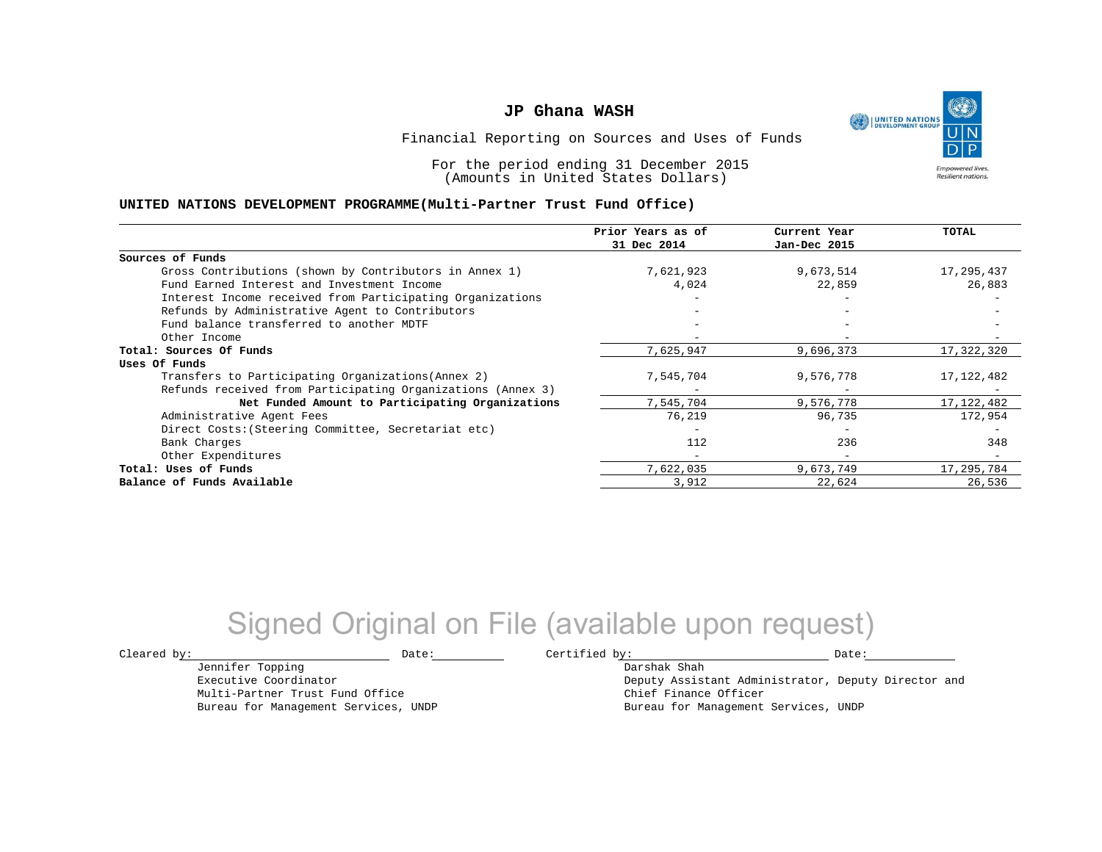

Financial Reporting on Sources and Uses of Funds

For the period ending 31 December 2015 (Amounts in United States Dollars)

#### **UNITED NATIONS DEVELOPMENT PROGRAMME(Multi-Partner Trust Fund Office)**

|                                                             | Prior Years as of<br>31 Dec 2014 | Current Year<br>Jan-Dec 2015 | <b>TOTAL</b> |
|-------------------------------------------------------------|----------------------------------|------------------------------|--------------|
|                                                             |                                  |                              |              |
| Sources of Funds                                            |                                  |                              |              |
| Gross Contributions (shown by Contributors in Annex 1)      | 7,621,923                        | 9,673,514                    | 17,295,437   |
| Fund Earned Interest and Investment Income                  | 4,024                            | 22,859                       | 26,883       |
| Interest Income received from Participating Organizations   |                                  |                              |              |
| Refunds by Administrative Agent to Contributors             |                                  |                              |              |
| Fund balance transferred to another MDTF                    |                                  |                              |              |
| Other Income                                                |                                  |                              |              |
| Total: Sources Of Funds                                     | 7,625,947                        | 9,696,373                    | 17,322,320   |
| Uses Of Funds                                               |                                  |                              |              |
| Transfers to Participating Organizations (Annex 2)          | 7,545,704                        | 9,576,778                    | 17,122,482   |
| Refunds received from Participating Organizations (Annex 3) |                                  |                              |              |
| Net Funded Amount to Participating Organizations            | 7,545,704                        | 9,576,778                    | 17, 122, 482 |
| Administrative Agent Fees                                   | 76,219                           | 96,735                       | 172,954      |
| Direct Costs: (Steering Committee, Secretariat etc)         |                                  |                              |              |
| Bank Charges                                                | 112                              | 236                          | 348          |
| Other Expenditures                                          |                                  | $\overline{\phantom{0}}$     |              |
| Total: Uses of Funds                                        | 7,622,035                        | 9,673,749                    | 17,295,784   |
| Balance of Funds Available                                  | 3,912                            | 22,624                       | 26,536       |

## Signed Original on File (available upon request)

 $\texttt{Cleared by:}\footnotesize \begin{minipage}{0.9\linewidth} \texttt{Date:}\footnotesize \begin{minipage}{0.9\linewidth} \texttt{Date:}\footnotesize \begin{minipage}{0.9\linewidth} \end{minipage} \end{minipage}$ 

Jennifer Topping Executive Coordinator

Multi-Partner Trust Fund Office Bureau for Management Services, UNDP

Darshak Shah Deputy Assistant Administrator, Deputy Director and Chief Finance Officer Bureau for Management Services, UNDP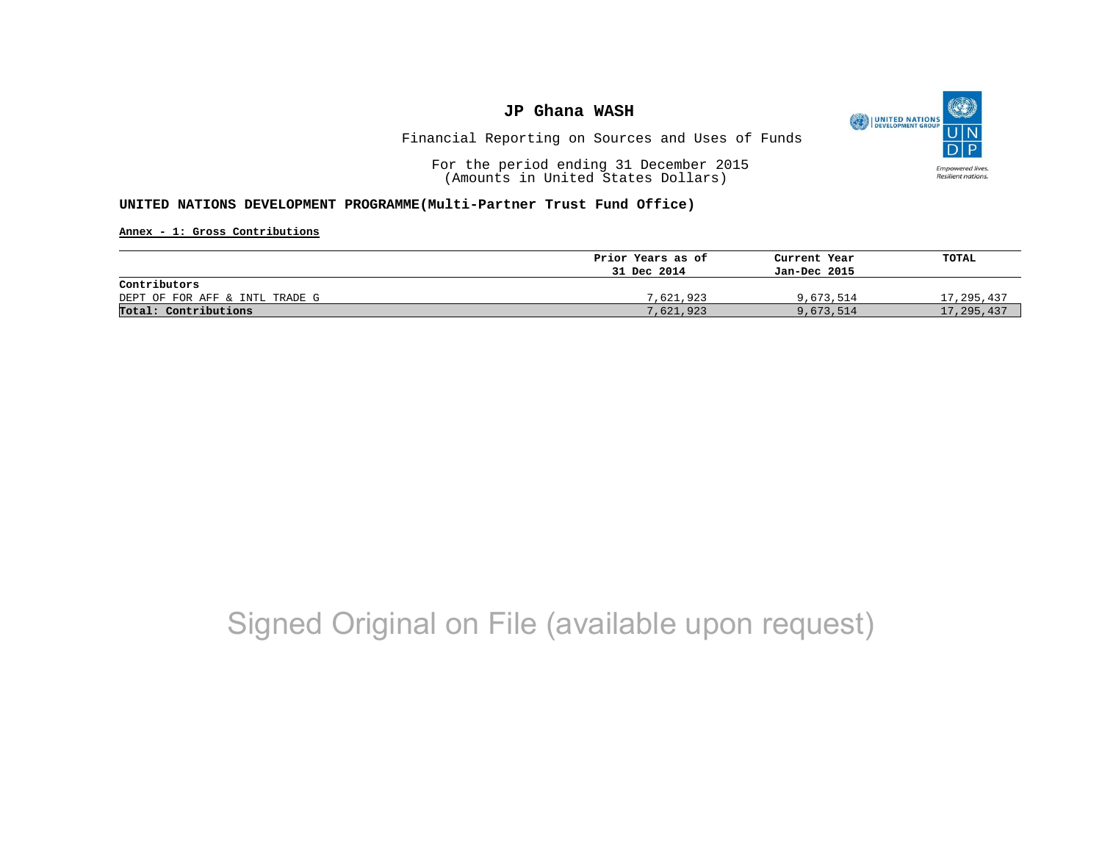

Financial Reporting on Sources and Uses of Funds

For the period ending 31 December 2015 (Amounts in United States Dollars)

#### **UNITED NATIONS DEVELOPMENT PROGRAMME(Multi-Partner Trust Fund Office)**

**Annex - 1: Gross Contributions**

|                                | Prior Years as of | Current Year | TOTAL        |
|--------------------------------|-------------------|--------------|--------------|
|                                | 31 Dec 2014       | Jan-Dec 2015 |              |
| Contributors                   |                   |              |              |
| DEPT OF FOR AFF & INTL TRADE G | 7,621,923         | 9,673,514    | 17,295,437   |
| Total: Contributions           | 7,621,923         | 9,673,514    | 17, 295, 437 |

## Signed Original on File (available upon request)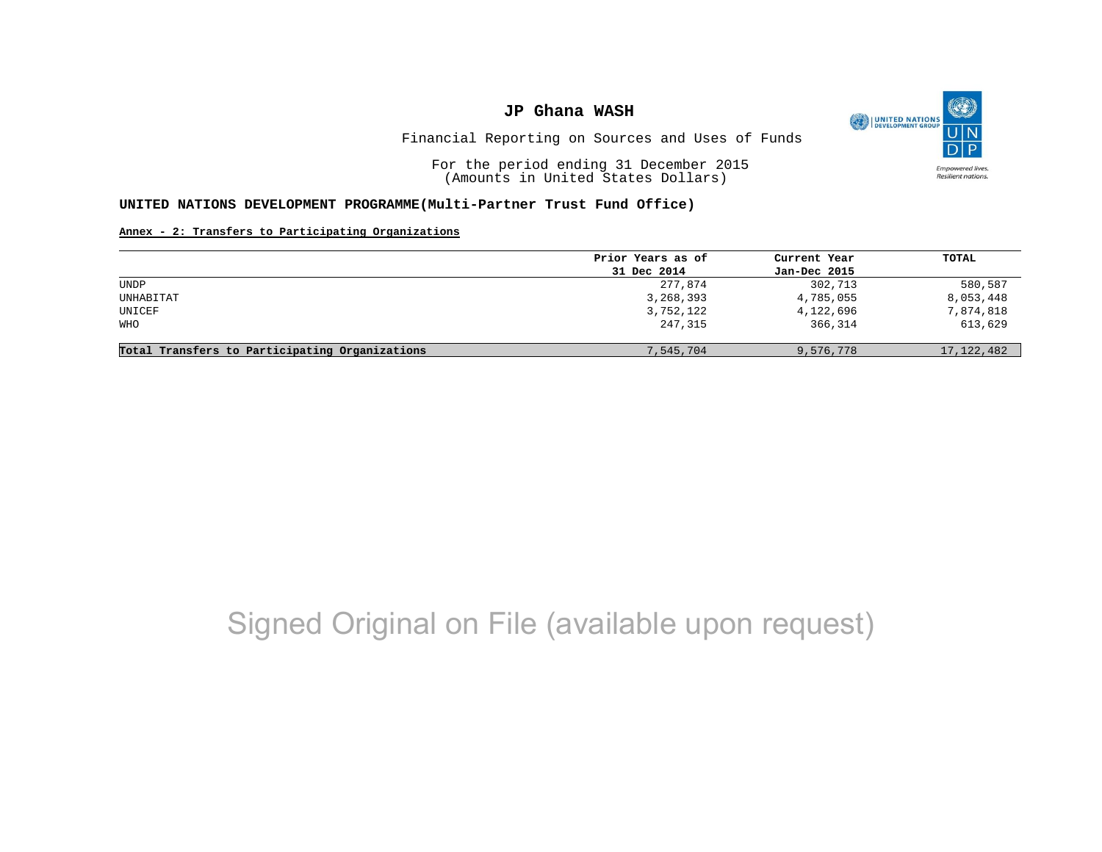

Financial Reporting on Sources and Uses of Funds

For the period ending 31 December 2015 (Amounts in United States Dollars)

#### **UNITED NATIONS DEVELOPMENT PROGRAMME(Multi-Partner Trust Fund Office)**

#### **Annex - 2: Transfers to Participating Organizations**

|                                                | Prior Years as of | Current Year | TOTAL        |
|------------------------------------------------|-------------------|--------------|--------------|
|                                                | 31 Dec 2014       | Jan-Dec 2015 |              |
| UNDP                                           | 277,874           | 302,713      | 580,587      |
| UNHABITAT                                      | 3,268,393         | 4,785,055    | 8,053,448    |
| UNICEF                                         | 3,752,122         | 4,122,696    | 7,874,818    |
| WHO                                            | 247,315           | 366,314      | 613,629      |
| Total Transfers to Participating Organizations | 7,545,704         | 9,576,778    | 17, 122, 482 |

## Signed Original on File (available upon request)